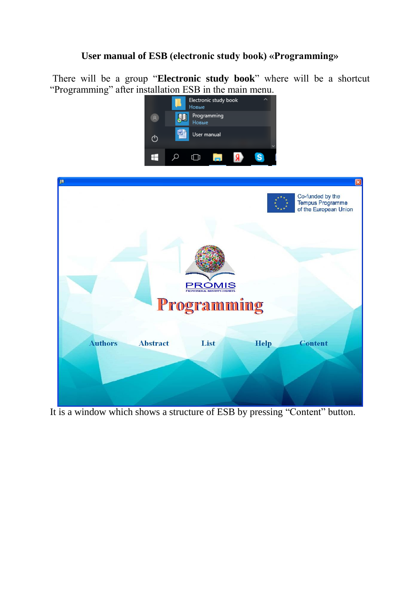## **User manual of ESB (electronic study book) «Programming»**

There will be a group "**Electronic study book**" where will be a shortcut "Programming" after installation ESB in the main menu.





It is a window which shows a structure of ESB by pressing "Content" button.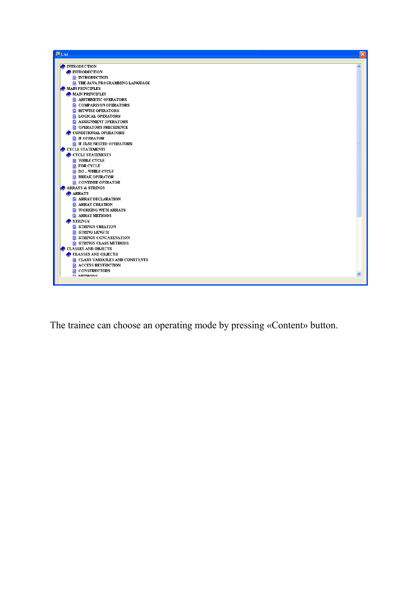

The trainee can choose an operating mode by pressing «Content» button.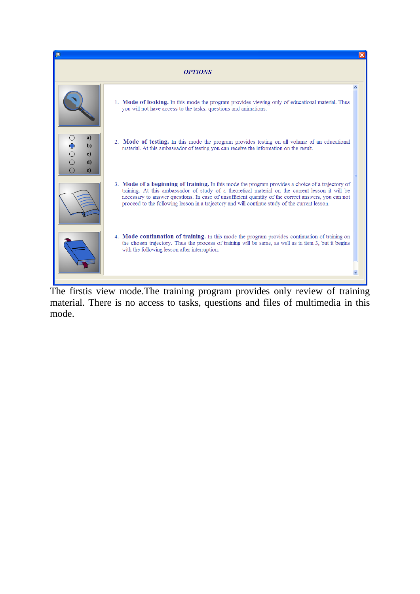

The firstis view mode.The training program provides only review of training material. There is no access to tasks, questions and files of multimedia in this mode.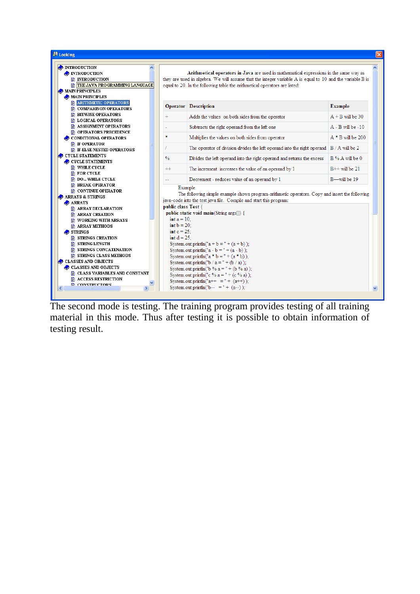

The second mode is testing. The training program provides testing of all training material in this mode. Thus after testing it is possible to obtain information of testing result.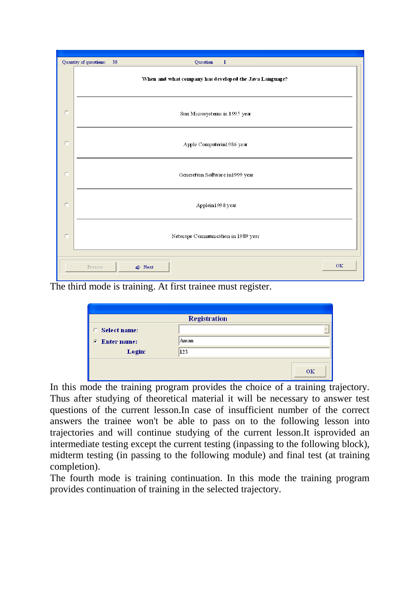

The third mode is training. At first trainee must register.

| <b>Select name:</b><br>c.        | <b>Registration</b> |  |
|----------------------------------|---------------------|--|
| <b>Enter name:</b><br>$\sqrt{2}$ | Aman                |  |
| Login:                           | 123                 |  |

In this mode the training program provides the choice of a training trajectory. Thus after studying of theoretical material it will be necessary to answer test questions of the current lesson.In case of insufficient number of the correct answers the trainee won't be able to pass on to the following lesson into trajectories and will continue studying of the current lesson.It isprovided an intermediate testing except the current testing (inpassing to the following block), midterm testing (in passing to the following module) and final test (at training completion).

The fourth mode is training continuation. In this mode the training program provides continuation of training in the selected trajectory.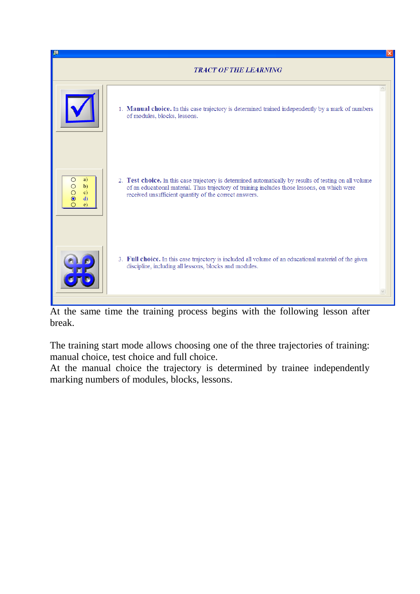

At the same time the training process begins with the following lesson after break.

The training start mode allows choosing one of the three trajectories of training: manual choice, test choice and full choice.

At the manual choice the trajectory is determined by trainee independently marking numbers of modules, blocks, lessons.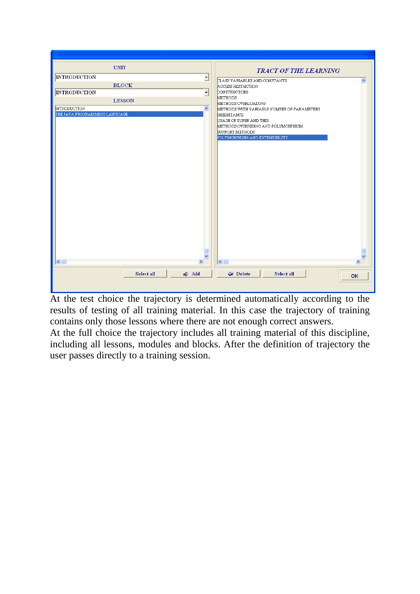| <b>UNIT</b>                                     | <b>TRACT OF THE LEARNING</b>                                   |
|-------------------------------------------------|----------------------------------------------------------------|
| <b>INTRODUCTION</b><br>⊻                        | CLASS VARIABLES AND CONSTANTS<br>$\blacktriangle$              |
| <b>BLOCK</b>                                    | ACCESS RESTRICTION                                             |
| <b>INTRODUCTION</b><br>$\overline{\phantom{a}}$ | CONSTRUCTORS                                                   |
| <b>LESSON</b>                                   | <b>METHODS</b>                                                 |
|                                                 | METHODS OVERLOADING                                            |
| $\blacktriangle$<br><b>INTRODUCTION</b>         | METHODS WITH VARIABLE NUMBER OF PARAMETERS                     |
| THE JAVA PROGRAMMING LANGUAGE                   | <b>INHERITANCE</b>                                             |
|                                                 | USAGE OF SUPER AND THIS<br>METHODS OVERRIDING AND POLYMORPHISM |
|                                                 | SUPPORT METHODS                                                |
|                                                 | POLYMORPHISM AND EXTENSIBILITY                                 |
|                                                 |                                                                |
|                                                 |                                                                |
|                                                 |                                                                |
|                                                 |                                                                |
|                                                 |                                                                |
|                                                 |                                                                |
|                                                 |                                                                |
|                                                 |                                                                |
|                                                 |                                                                |
|                                                 |                                                                |
|                                                 |                                                                |
|                                                 |                                                                |
|                                                 |                                                                |
|                                                 |                                                                |
|                                                 |                                                                |
|                                                 |                                                                |
|                                                 |                                                                |
|                                                 |                                                                |
| v                                               |                                                                |
| $\rightarrow$<br>$\left  \right $ =             | $\leq$   $\mathbb{H}$<br>×                                     |
|                                                 |                                                                |
| Select all<br>← Add                             | Delete<br>Select all<br><b>OK</b>                              |
|                                                 |                                                                |
|                                                 |                                                                |

At the test choice the trajectory is determined automatically according to the results of testing of all training material. In this case the trajectory of training contains only those lessons where there are not enough correct answers.

At the full choice the trajectory includes all training material of this discipline, including all lessons, modules and blocks. After the definition of trajectory the user passes directly to a training session.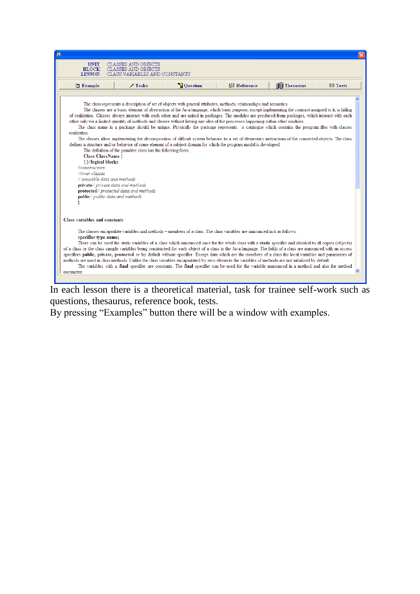| <b>UNIT</b><br><b>BLOCK</b><br><b>LESSON</b><br>$\Box$ Example                                     | CLASSES AND OBJECTS<br>CLASSES AND OBJECTS<br>CLASS VARIABLES AND CONSTANTS                                                                                                                                                                                                                                                                                                                                                                                                                                                                                                                                                                                                                                                                                                                                                                                                                                                                                                                                                                                                                                                                                                                                              |                 |                    |                     |           |
|----------------------------------------------------------------------------------------------------|--------------------------------------------------------------------------------------------------------------------------------------------------------------------------------------------------------------------------------------------------------------------------------------------------------------------------------------------------------------------------------------------------------------------------------------------------------------------------------------------------------------------------------------------------------------------------------------------------------------------------------------------------------------------------------------------------------------------------------------------------------------------------------------------------------------------------------------------------------------------------------------------------------------------------------------------------------------------------------------------------------------------------------------------------------------------------------------------------------------------------------------------------------------------------------------------------------------------------|-----------------|--------------------|---------------------|-----------|
|                                                                                                    |                                                                                                                                                                                                                                                                                                                                                                                                                                                                                                                                                                                                                                                                                                                                                                                                                                                                                                                                                                                                                                                                                                                                                                                                                          |                 |                    |                     |           |
|                                                                                                    | $\mathscr{P}$ Tasks                                                                                                                                                                                                                                                                                                                                                                                                                                                                                                                                                                                                                                                                                                                                                                                                                                                                                                                                                                                                                                                                                                                                                                                                      | <b>Question</b> | <b>脚 Reference</b> | <b>If Thesaurus</b> | $E$ Tests |
| realization<br>Class ClassName {<br>{}//logical blocks<br><b>Ilconstructors</b><br>//inner classes | The class represents a description of set of objects with general attributes, methods, relationships and semantics.<br>The classes are a basic element of abstraction of the Java language, which basic purpose, except implementing the contract assigned to it, is hiding<br>of realization. Classes always interact with each other and are united in packages. The modules are produced from packages, which interact with each<br>other only via a limited quantity of methods and classes without having any idea of the processes happening within other modules.<br>The class name in a package should be unique. Physically the package represents a catalogue which contains the program files with classes<br>The classes allow implementing the decomposition of difficult system behavior to a set of elementary interactions of the connected objects. The class<br>defines a structure and/or behavior of some element of a subject domain for which the program model is developed.<br>The definition of the primitive class has the following form:<br>// amicable data and methods<br>private// private data and methods<br>protected// protected data and methods<br>public// public data and methods |                 |                    |                     |           |
| Class variables and constants                                                                      |                                                                                                                                                                                                                                                                                                                                                                                                                                                                                                                                                                                                                                                                                                                                                                                                                                                                                                                                                                                                                                                                                                                                                                                                                          |                 |                    |                     |           |
| specifier type name;                                                                               | The classes encapsulate variables and methods - members of a class. The class variables are announced in it as follows:<br>There can be used the static variables of a class which announced once for the whole class with a static specifier and identical to all copies (objects)                                                                                                                                                                                                                                                                                                                                                                                                                                                                                                                                                                                                                                                                                                                                                                                                                                                                                                                                      |                 |                    |                     |           |
|                                                                                                    | of a class or the class sample variables being constructed for each object of a class in the Java language. The fields of a class are announced with an access<br>specifiers public, private, protected or by default without specifier. Except data which are the members of a class the local variables and parameters of<br>methods are used in class methods. Unlike the class variables encapsulated by zero elements the variables of methods are not initialized by default.<br>The variables with a final specifier are constants. The final specifier can be used for the variable announced in a method and also for method                                                                                                                                                                                                                                                                                                                                                                                                                                                                                                                                                                                    |                 |                    |                     |           |

In each lesson there is a theoretical material, task for trainee self-work such as questions, thesaurus, reference book, tests.

By pressing "Examples" button there will be a window with examples.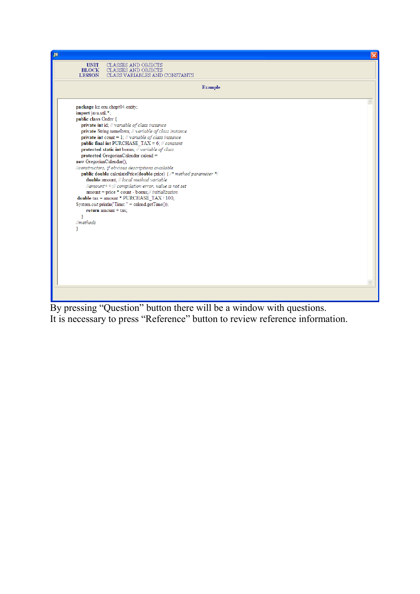

By pressing "Question" button there will be a window with questions. It is necessary to press "Reference" button to review reference information.